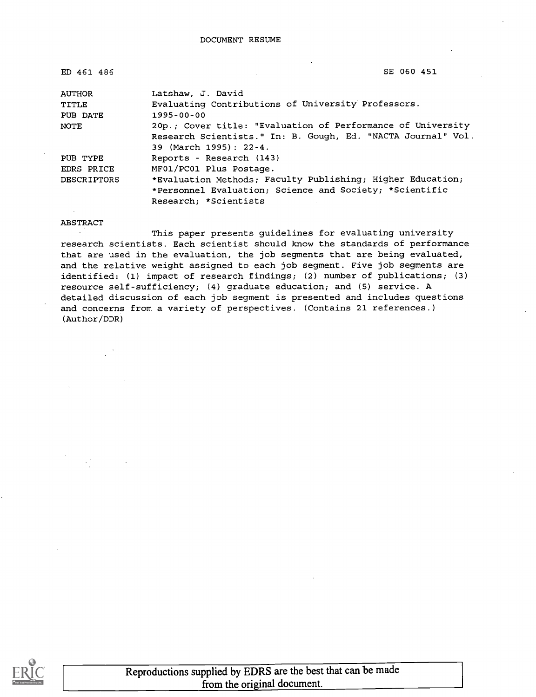| ED 461 486  | SE 060 451                                                   |
|-------------|--------------------------------------------------------------|
| AUTHOR      | Latshaw, J. David                                            |
| TITLE       | Evaluating Contributions of University Professors.           |
| PUB DATE    | $1995 - 00 - 00$                                             |
| NOTE        | 20p.; Cover title: "Evaluation of Performance of University  |
|             | Research Scientists." In: B. Gough, Ed. "NACTA Journal" Vol. |
|             | 39 (March 1995): 22-4.                                       |
| PUB TYPE    | Reports - Research (143)                                     |
| EDRS PRICE  | MF01/PC01 Plus Postage.                                      |
| DESCRIPTORS | *Evaluation Methods; Faculty Publishing; Higher Education;   |
|             | *Personnel Evaluation; Science and Society; *Scientific      |
|             | Research; *Scientists                                        |

ABSTRACT

 $\ddot{\phantom{a}}$ This paper presents guidelines for evaluating university research scientists. Each scientist should know the standards of performance that are used in the evaluation, the job segments that are being evaluated, and the relative weight assigned to each job segment. Five job segments are identified: (1) impact of research findings; (2) number of publications; (3) resource self-sufficiency; (4) graduate education; and (5) service. A detailed discussion of each job segment is presented and includes questions and concerns from a variety of perspectives. (Contains 21 references.) (Author/DDR)

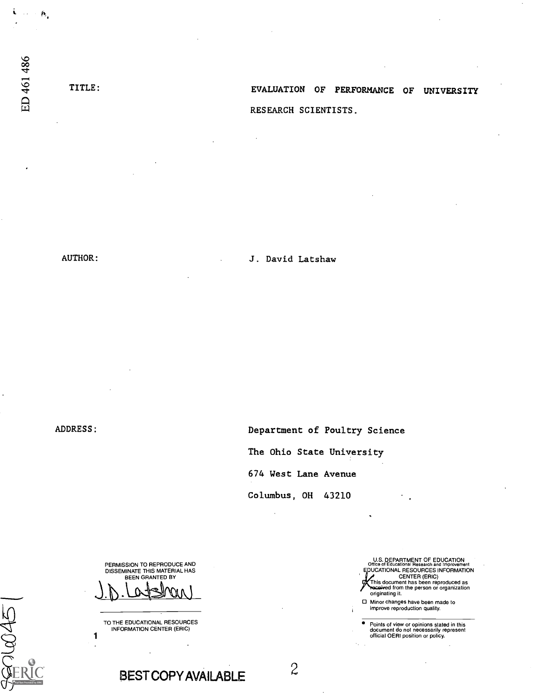i.  $\sim$   $\sim$   $\boldsymbol{n}$ 

TITLE: EVALUATION OF PERFORMANCE OF UNIVERSITY RESEARCH SCIENTISTS.

ADDRESS:

iQQi

AUTHOR: J. David Latshaw

Department of Poultry Science

The Ohio State University

674 West Lane Avenue

Columbus, OH 43210

PERMISSION TO REPRODUCE AND DISSEMINATE THIS MATERIAL HAS BEEN GRANTED BY

TO THE EDUCATIONAL RESOURCES<br>INFORMATION CENTER (ERIC)<br>1

U.S. DEPARTMENT OF EDUCATION<br>Office of Educational Research and Improvement<br>EDUCATIONAL RESOURCES INFORMATION CENTER (ERIC) This document has been reproduced as d from the person or organization originating it.

O Minor changes have been made to improve reproduction quality.

Points of view or opinions stated in this document do not necessarily represent official OERI position or policy.

BESTCOPY AVAILABLE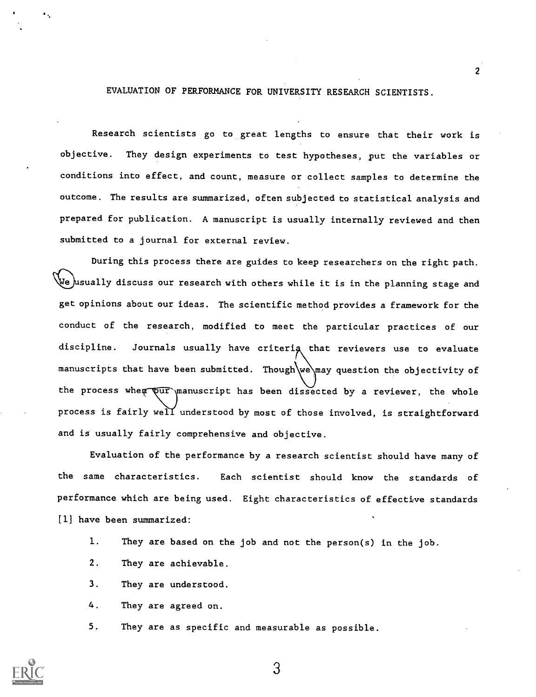EVALUATION OF PERFORMANCE FOR UNIVERSITY RESEARCH SCIENTISTS.

 $\overline{2}$ 

Research scientists go to great lengths to ensure that their work is objective. They design experiments to test hypotheses, put the variables or conditions into effect, and count, measure or collect samples to determine the outcome. The results are summarized, often subjected to statistical analysis and prepared for publication. A manuscript is usually internally reviewed and then submitted to a journal for external review.

During this process there are guides to keep researchers on the right path. We usually discuss our research with others while it is in the planning stage and get opinions about our ideas. The scientific method provides a framework for the conduct of the research, modified to meet the particular practices of our discipline. Journals usually have criterig that reviewers use to evaluate manuscripts that have been submitted. Though we may question the objectivity of the process whe<del>m  $\overline{\text{pur}}$  manuscript has been dissected by a reviewer, the whole</del> process is fairly well̃ understood by most of those involved, is straightforward and is usually fairly comprehensive and objective.

Evaluation of the performance by a research scientist should have many of the same characteristics. Each scientist should know the standards of performance which are being used. Eight characteristics of effective standards [1] have been summarized:

- I. They are based on the job and not the person(s) in the job.
- 2. They are achievable.
- 3. They are understood.
- 4. They are agreed on.
- 5. They are as specific and measurable as possible.

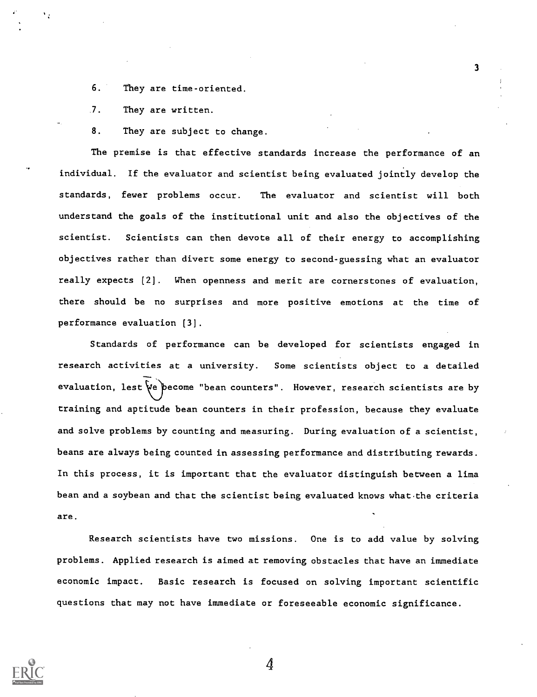6. They are time-oriented.

7. They are written.

8. They are subject to change.

The premise is that effective standards increase the performance of an individual. If the evaluator and scientist being evaluated jointly develop the standards, fewer problems occur. The evaluator and scientist will both understand the goals of the institutional unit and also the objectives of the scientist. Scientists can then devote all of their energy to accomplishing objectives rather than divert some energy to second-guessing what an evaluator really expects [2]. When openness and merit are cornerstones of evaluation, there should be no surprises and more positive emotions at the time of performance evaluation [3].

3

Standards of performance can be developed for scientists engaged in research activities at a university. Some scientists object to a detailed evaluation, lest  $\psi$ e pecome "bean counters". However, research scientists are by training and aptitude bean counters in their profession, because they evaluate and solve problems by counting and measuring. During evaluation of a scientist, beans are always being counted in assessing performance and distributing rewards. In this process, it is important that the evaluator distinguish between a lima bean and a soybean and that the scientist being evaluated knows what the criteria are.

Research scientists have two missions. One is to add value by solving problems. Applied research is aimed at removing obstacles that have an immediate economic impact. Basic research is focused on solving important scientific questions that may not have immediate or foreseeable economic significance.

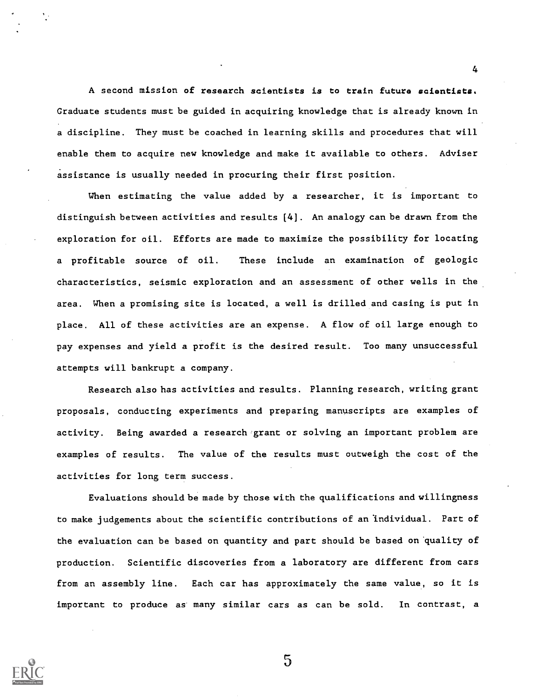A second mission of research scientists is to train future scientists. Graduate students must be guided in acquiring knowledge that is already known in a discipline. They must be coached in learning skills and procedures that will enable them to acquire new knowledge and make it available to others. Adviser assistance is usually needed in procuring their first position.

4

When estimating the value added by a researcher, it is important to distinguish between activities and results [4]. An analogy can be drawn from the exploration for oil. Efforts are made to maximize the possibility for locating a profitable source of oil. These include an examination of geologic characteristics, seismic exploration and an assessment of other wells in the area. When a promising site is located, a well is drilled and casing is put in place. All of these activities are an expense. A flow of oil large enough to pay expenses and yield a profit is the desired result. Too many unsuccessful attempts will bankrupt a company.

Research also has activities and results. Planning research, writing grant proposals, conducting experiments and preparing manuscripts are examples of activity. Being awarded a research grant or solving an important problem are examples of results. The value of the results must outweigh the cost of the activities for long term success.

Evaluations should be made by those with the qualifications and willingness to make judgements about the scientific contributions of an 'individual. Part of the evaluation can be based on quantity and part should be based on 'quality of production. Scientific discoveries from a laboratory are different from cars from an assembly line. Each car has approximately the same value, so it is important to produce as many similar cars as can be sold. In contrast, a

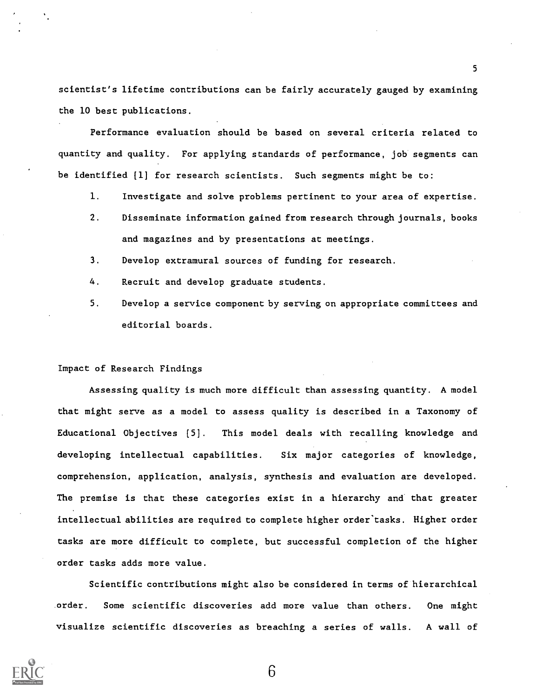scientist's lifetime contributions can be fairly accurately gauged by examining the 10 best publications.

5

Performance evaluation should be based on several criteria related to quantity and quality. For applying standards of performance, job segments can be identified [1] for research scientists. Such segments might be to:

- 1. Investigate and solve problems pertinent to your area of expertise.
- 2. Disseminate information gained from research through journals, books and magazines and by presentations at meetings.
- 3. Develop extramural sources of funding for research.
- 4. Recruit and develop graduate students.
- 5. Develop a service component by serving on appropriate committees and editorial boards.

# Impact of Research Findings

Assessing quality is much more difficult than assessing quantity. A model that might serve as a model to assess quality is described in a Taxonomy of Educational Objectives [5]. This model deals with recalling knowledge and developing intellectual capabilities. Six major categories of knowledge, comprehension, application, analysis, synthesis and evaluation are developed. The premise is that these categories exist in a hierarchy and that greater intellectual abilities are required to complete higher order'tasks. Higher order tasks are more difficult to complete, but successful completion of the higher order tasks adds more value.

Scientific contributions might also be considered in terms of hierarchical order. Some scientific discoveries add more value than others. One might visualize scientific discoveries as breaching a series of walls. A wall of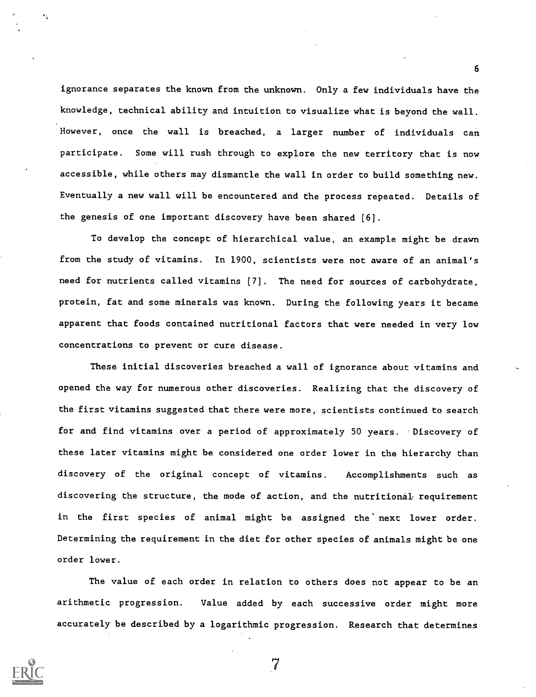ignorance separates the known from the unknown. Only a few individuals have the knowledge, technical ability and intuition to visualize what is beyond the wall. However, once the wall is breached, a larger number of individuals can participate. Some will rush through to explore the new territory that is now accessible, while others may dismantle the wall in order to build something new. Eventually a new wall will be encountered and the process repeated. Details of the genesis of one important discovery have been shared [6].

6

To develop the concept of hierarchical value, an example might be drawn from the study of vitamins. In 1900, scientists were not aware of an animal's need for nutrients called vitamins [7]. The need for sources of carbohydrate, protein, fat and some minerals was known. During the following years it became apparent that foods contained nutritional factors that were needed in very low concentrations to prevent or cure disease.

These initial discoveries breached a wall of ignorance about vitamins and opened the way for numerous other discoveries. Realizing that the discovery of the first vitamins suggested that there were more, scientists continued to search for and find vitamins over a period of approximately 50 years. Discovery of these later vitamins might be considered one order lower in the hierarchy than discovery of the original concept of vitamins. Accomplishments such as discovering the structure, the mode of action, and the nutritional requirement in the first species of animal might be assigned the' next lower order. Determining the requirement in the diet for other species of animals might be one order lower.

The value of each order in relation to others does not appear to be an arithmetic progression. Value added by each successive order might more accurately be described by a logarithmic progression. Research that determines

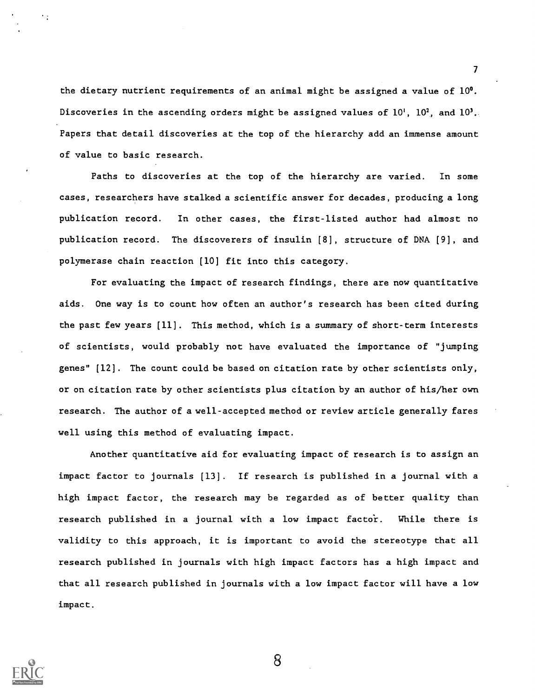the dietary nutrient requirements of an animal might be assigned a value of  $10^0$ . Discoveries in the ascending orders might be assigned values of  $10^1$ ,  $10^2$ , and  $10^3$ . Papers that detail discoveries at the top of the hierarchy add an immense amount of value to basic research.

 $\mathcal{T}$  and  $\mathcal{T}$ 

Paths to discoveries at the top of the hierarchy are varied. In some cases, researchers have stalked a scientific answer for decades, producing a long publication record. In other cases, the first-listed author had almost no publication record. The discoverers of insulin [8], structure of DNA [9], and polymerase chain reaction [10] fit into this category.

For evaluating the impact of research findings, there are now quantitative aids. One way is to count how often an author's research has been cited during the past few years [11]. This method, which is a summary of short-term interests of scientists, would probably not have evaluated the importance of "jumping genes"  $[12]$ . The count could be based on citation rate by other scientists only, or on citation rate by other scientists plus citation by an author of his/her own research. The author of a well-accepted method or review article generally fares well using this method of evaluating impact.

Another quantitative aid for evaluating impact of research is to assign an impact factor to journals [13]. If research is published in a journal with a high impact factor, the research may be regarded as of better quality than research published in a journal with a low impact factor. While there is validity to this approach, it is important to avoid the stereotype that all research published in journals with high impact factors has a high impact and that all research published in journals with a low impact factor will have a low impact.

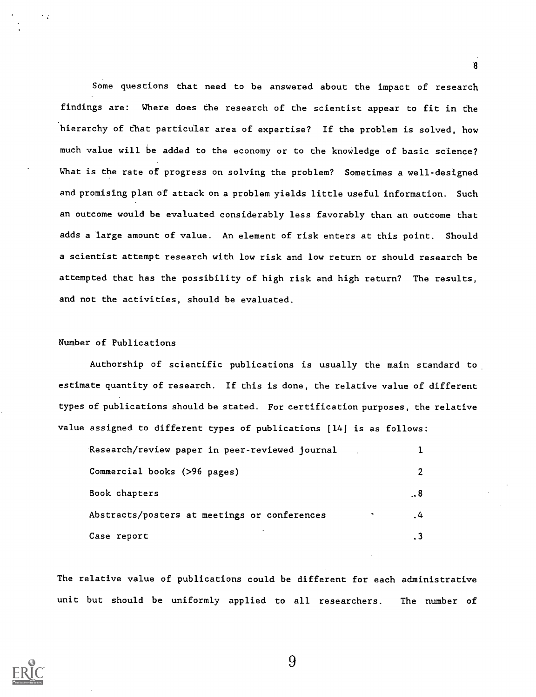Some questions that need to be answered about the impact of research findings are: Where does the research of the scientist appear to fit in the hierarchy of that particular area of expertise? If the problem is solved, how much value will be added to the economy or to the knowledge of basic science? What is the rate of progress on solving the problem? Sometimes a well-designed and promising plan of attack on a problem yields little useful information. Such an outcome would be evaluated considerably less favorably than an outcome that adds a large amount of value. An element of risk enters at this point. Should a scientist attempt research with low risk and low return or should research be attempted that has the possibility of high risk and high return? The results, and not the activities, should be evaluated.

8

# Number of Publications

Authorship of scientific publications is usually the main standard to estimate quantity of research. If this is done, the relative value of different types of publications should be stated. For certification purposes, the relative value assigned to different types of publications [14] is as follows:

| Research/review paper in peer-reviewed journal |       |  |
|------------------------------------------------|-------|--|
| Commercial books (>96 pages)                   |       |  |
| Book chapters                                  | . . 8 |  |
| Abstracts/posters at meetings or conferences   | 4     |  |
| Case report                                    |       |  |

The relative value of publications could be different for each administrative unit but should be uniformly applied to all researchers. The number of

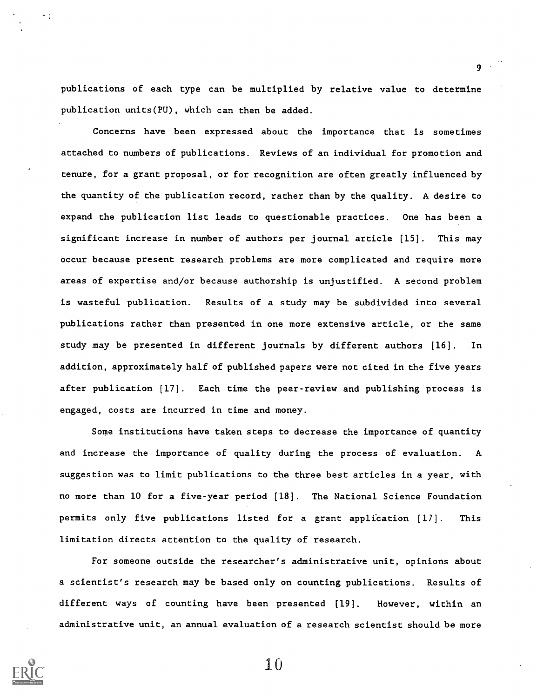publications of each type can be multiplied by relative value to determine publication units(PU), which can then be added.

9

Concerns have been expressed about the importance that is sometimes attached to numbers of publications. Reviews of an individual for promotion and tenure, for a grant proposal, or for recognition are often greatly influenced by the quantity of the publication record, rather than by the quality. A desire to expand the publication list leads to questionable practices. One has been a significant increase in number of authors per journal article [15]. This may occur because present research problems are more complicated and require more areas of expertise and/or because authorship is unjustified. A second problem is wasteful publication. Results of a study may be subdivided into several publications rather than presented in one more extensive article, or the same study may be presented in different journals by different authors [16]. In addition, approximately half of published papers were not cited in the five years after publication [17]. Each time the peer-review and publishing process is engaged, costs are incurred in time and money.

Some institutions have taken steps to decrease the importance of quantity and increase the importance of quality during the process of evaluation. A suggestion was to limit publications to the three best articles in a year, with no more than 10 for a five-year period (18]. The National Science Foundation permits only five publications listed for a grant application [17]. This limitation directs attention to the quality of research.

For someone outside the researcher's administrative unit, opinions about a scientist's research may be based only on counting publications. Results of different ways of counting have been presented [19]. However, within an administrative unit, an annual evaluation of a research scientist should be more

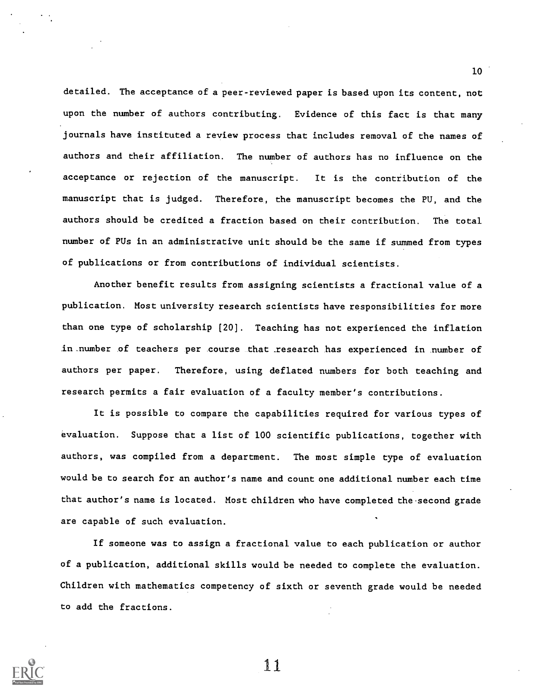detailed. The acceptance of a peer-reviewed paper is based upon its content, not upon the number of authors contributing. Evidence of this fact is that many journals have instituted a review process that includes removal of the names of authors and their affiliation. The number of authors has no influence on the acceptance or rejection of the manuscript. It is the contribution of the manuscript that is judged. Therefore, the manuscript becomes the PU, and the authors should be credited a fraction based on their contribution. The total number of PUs in an administrative unit should be the same if summed from types of publications or from contributions of individual scientists.

Another benefit results from assigning scientists a fractional value of a publication. Most university research scientists have responsibilities for more than one type of scholarship [20]. Teaching has not experienced the inflation in number of teachers per course that \_research has experienced in number of authors per paper. Therefore, using deflated numbers for both teaching and research permits a fair evaluation of a faculty member's contributions.

It is possible to compare the capabilities required for various types of evaluation. Suppose that a list of 100 scientific publications, together with authors, was compiled from a department. The most simple type of evaluation would be to search for an author's name and count one additional number each time that author's name is located. Most children who have completed the second grade are capable of such evaluation.

If someone was to assign a fractional value to each publication or author of a publication, additional skills would be needed to complete the evaluation. Children with mathematics competency of sixth or seventh grade would be needed to add the fractions.



11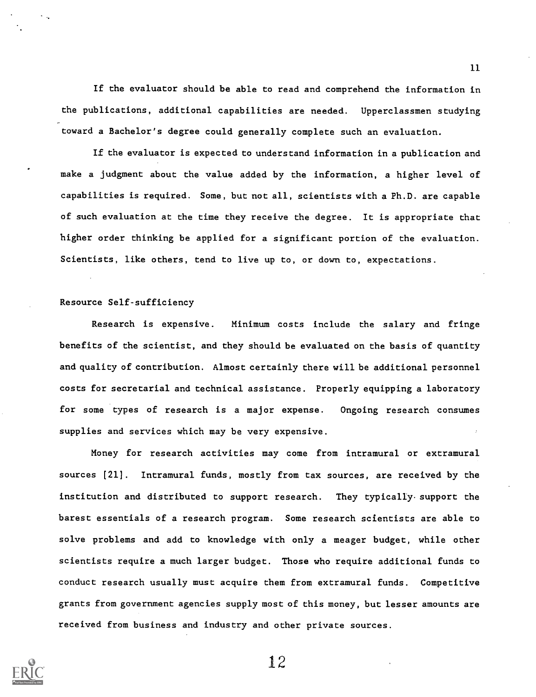If the evaluator should be able to read and comprehend the information in the publications, additional capabilities are needed. Upperclassmen studying toward a Bachelor's degree could generally complete such an evaluation.

If the evaluator is expected to understand information in a publication and make a judgment about the value added by the information, a higher level of capabilities is required. Some, but not all, scientists with a Ph.D. are capable of such evaluation at the time they receive the degree. It is appropriate that higher order thinking be applied for a significant portion of the evaluation. Scientists, like others, tend to live up to, or down to, expectations.

## Resource Self-sufficiency

Research is expensive. Minimum costs include the salary and fringe benefits of the scientist, and they should be evaluated on the basis of quantity and quality of contribution. Almost certainly there will be additional personnel costs for secretarial and technical assistance. Properly equipping a laboratory for some types of research is a major expense. Ongoing research consumes supplies and services which may be very expensive.

Money for research activities may come from intramural or extramural sources [21]. Intramural funds, mostly from tax sources, are received by the institution and distributed to support research. They typically.support the barest essentials of a research program. Some research scientists are able to solve problems and add to knowledge with only a meager budget, while other scientists require a much larger budget. Those who require additional funds to conduct research usually must acquire them from extramural funds. Competitive grants from government agencies supply most of this money, but lesser amounts are received from business and industry and other private sources.



12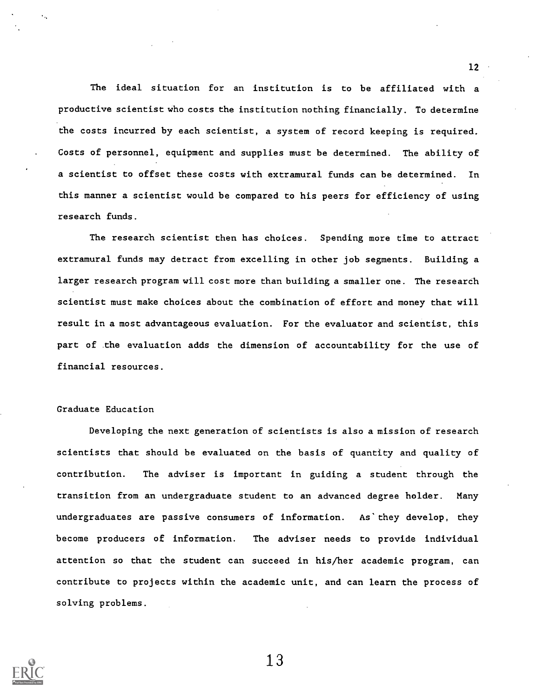The ideal situation for an institution is to be affiliated with a productive scientist who costs the institution nothing financially. To determine the costs incurred by each scientist, a system of record keeping is required. Costs of personnel, equipment and supplies must be determined. The ability of a scientist to offset these costs with extramural funds can be determined. In this manner a scientist would be compared to his peers for efficiency of using research funds.

The research scientist then has choices. Spending more time to attract extramural funds may detract from excelling in other job segments. Building a larger research program will cost more than building a smaller one. The research scientist must make choices about the combination of effort and money that will result in a most advantageous evaluation. For the evaluator and scientist, this part of .the evaluation adds the dimension of accountability for the use of financial resources.

# Graduate Education

Developing the next generation of scientists is also a mission of research scientists that should be evaluated on the basis of quantity and quality of contribution. The adviser is important in guiding a student through the transition from an undergraduate student to an advanced degree holder. Many undergraduates are passive consumers of information. As' they develop, they become producers of information. The adviser needs to provide individual attention so that the student can succeed in his/her academic program, can contribute to projects within the academic unit, and can learn the process of solving problems.



13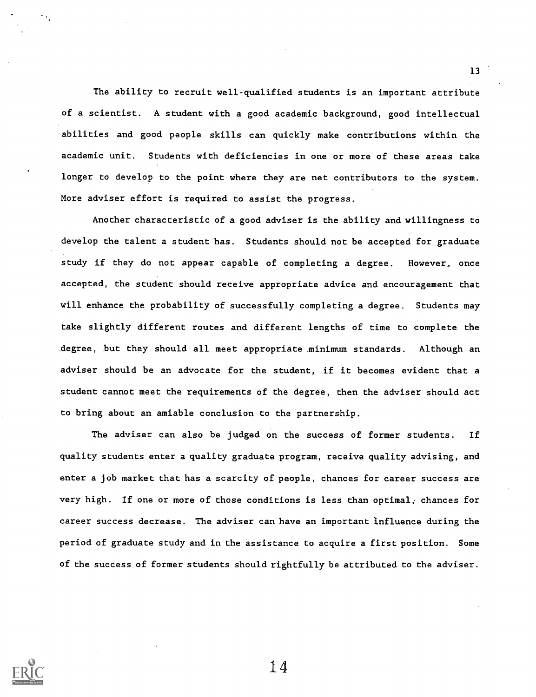The ability to recruit well-qualified students is an important attribute of a scientist. A student with a good academic background, good intellectual abilities and good people skills can quickly make contributions within the academic unit. Students with deficiencies in one or more of these areas take longer to develop to the point where they are net contributors to the system. More adviser effort is required to assist the progress.

13

Another characteristic of a good adviser is the ability and willingness to develop the talent a student has. Students should not be accepted for graduate study if they do not appear capable of completing a degree. However, once accepted, the student should receive appropriate advice and encouragement that will enhance the probability of successfully completing a degree. Students may take slightly different routes and different lengths of time to complete the degree, but they should all meet appropriate minimum standards. Although an adviser should be an advocate for the student, if it becomes evident that a student cannot meet the requirements of the degree, then the adviser should act to bring about an amiable conclusion to the partnership.

The adviser can also be judged on the success of former students. If quality students enter a quality graduate program, receive quality advising, and enter a job market that has a scarcity of people, chances for career success are very high. If one or more of those conditions is less than optimal; chances for career success decrease. The adviser can have an important influence during the period of graduate study and in the assistance to acquire a first position. Some of the success of former students should rightfully be attributed to the adviser.

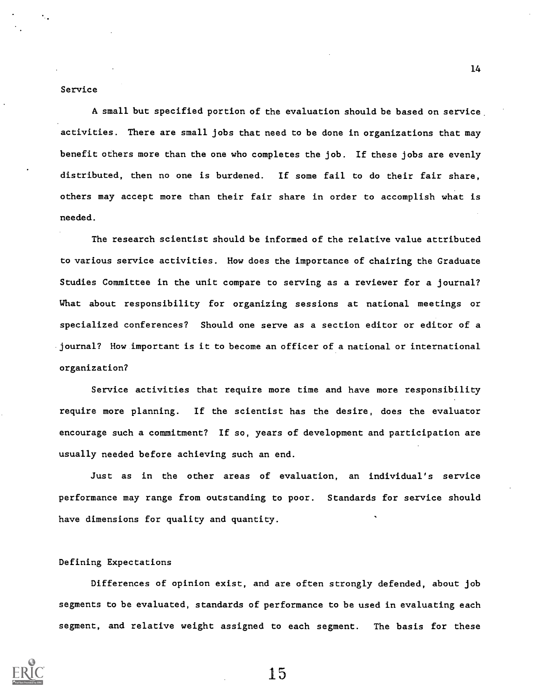#### Service

A small but specified portion of the evaluation should be based on service activities. There are small jobs that need to be done in organizations that may benefit others more than the one who completes the job. If these jobs are evenly distributed, then no one is burdened. If some fail to do their fair share, others may accept more than their fair share in order to accomplish what is needed.

The research scientist should be informed of the relative value attributed to various service activities. How does the importance of chairing the Graduate Studies Committee in the unit compare to serving as a reviewer for a journal? What about responsibility for organizing sessions at national meetings or specialized conferences? Should one serve as a section editor or editor of a journal? How important is it to become an officer of a national or international organization?

Service activities that require more time and have more responsibility require more planning. If the scientist has the desire, does the evaluator encourage such a commitment? If so, years of development and participation are usually needed before achieving such an end.

Just as in the other areas of evaluation, an individual's service performance may range from outstanding to poor. Standards for service should have dimensions for quality and quantity.

## Defining Expectations

Differences of opinion exist, and are often strongly defended, about job segments to be evaluated, standards of performance to be used in evaluating each segment, and relative weight assigned to each segment. The basis for these



15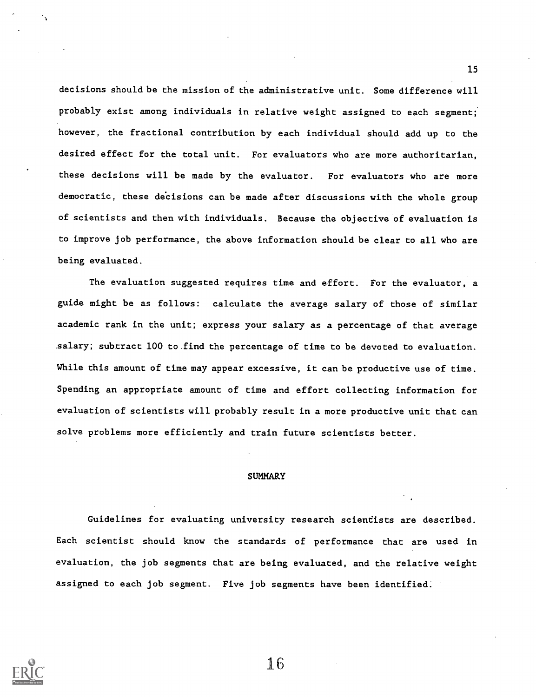decisions should be the mission of the administrative unit. Some difference will probably exist among individuals in relative weight assigned to each segment; however, the fractional contribution by each individual should add up to the desired effect for the total unit. For evaluators who are more authoritarian, these decisions will be made by the evaluator. For evaluators who are more democratic, these decisions can be made after discussions with the whole group of scientists and then with individuals. Because the objective of evaluation is to improve job performance, the above information should be clear to all who are being evaluated.

The evaluation suggested requires time and effort. For the evaluator, a guide might be as follows: calculate the average salary of those of similar academic rank in the unit; express your salary as a percentage of that average .salary; subtract 100 to find the percentage of time to be devoted to evaluation. While this amount of time may appear excessive, it can be productive use of time. Spending an appropriate amount of time and effort collecting information for evaluation of scientists will probably result in a more productive unit that can solve problems more efficiently and train future scientists better.

#### SUMMARY

Guidelines for evaluating university research scientists are described. Each scientist should know the standards of performance that are used in evaluation, the job segments that are being evaluated, and the relative weight assigned to each job segment. Five job segments have been identified.



16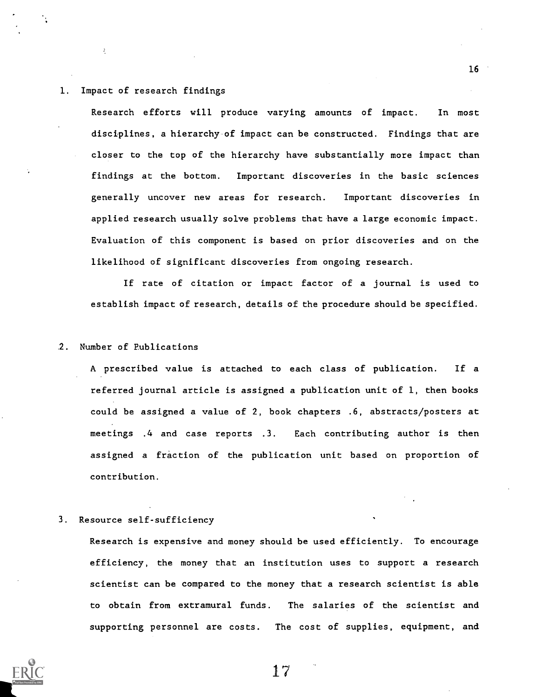# 1. Impact of research findings

Å.

Research efforts will produce varying amounts of impact. In most disciplines, a hierarchy of impact can be constructed. Findings that are closer to the top of the hierarchy have substantially more impact than findings at the bottom. Important discoveries in the basic sciences generally uncover new areas for research. Important discoveries in applied research usually solve problems that have a large economic impact. Evaluation of this component is based on prior discoveries and on the likelihood of significant discoveries from ongoing research.

If rate of citation or impact factor of a journal is used to establish impact of research, details of the procedure should be specified.

## 2. Number of Publications

A prescribed value is attached to each class of publication. If a referred journal article is assigned a publication unit of 1, then books could be assigned a value of 2, book chapters .6, abstracts/posters at meetings .4 and case reports .3. Each contributing author is then assigned a fraction of the publication unit based on proportion of contribution.

# 3. Resource self-sufficiency

Research is expensive and money should be used efficiently. To encourage efficiency, the money that an institution uses to support a research scientist can be compared to the money that a research scientist is able to obtain from extramural funds. The salaries of the scientist and supporting personnel are costs. The cost of supplies, equipment, and

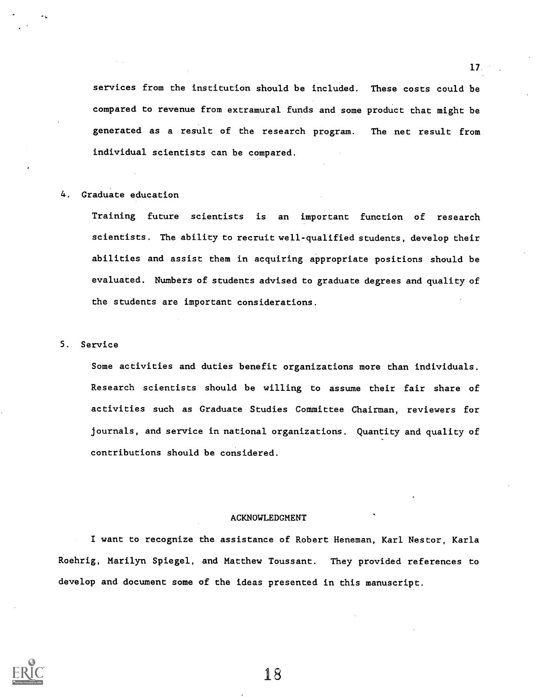services from the institution should be included. These costs could be compared to revenue from extramural funds and some product that might be generated as a result of the research program. The net result from individual scientists can be compared.

#### 4. Graduate education

Training future scientists is an important function of research scientists. The ability to recruit well-qualified students, develop their abilities and assist them in acquiring appropriate positions should be evaluated. Numbers of students advised to graduate degrees and quality of the students are important considerations.

#### 5. Service

Some activities and duties benefit organizations more than individuals. Research scientists should be willing to assume their fair share of activities such as Graduate Studies Committee Chairman, reviewers for journals, and service in national organizations. Quantity and quality of contributions should be considered.

#### ACKNOWLEDGMENT

I want to recognize the assistance of Robert Heneman, Karl Nestor, Karla Roehrig, Marilyn Spiegel, and Matthew Toussant. They provided references to develop and document some of the ideas presented in this manuscript.

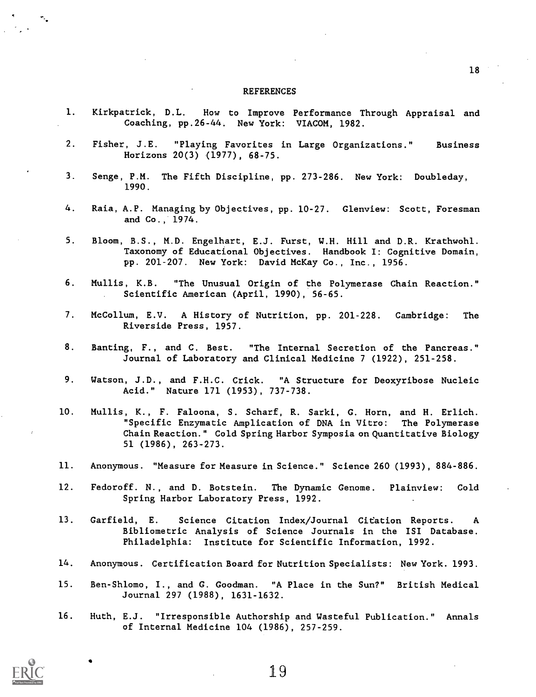#### **REFERENCES**

- 1. Kirkpatrick, D.L. How to Improve Performance Through Appraisal and Coaching, pp.26-44. New York: VIACOM, 1982.
- 2. Fisher, J.E. "Playing Favorites in Large Organizations." Business Horizons 20(3) (1977), 68-75.
- 3. Senge, P.M. The Fifth Discipline, pp. 273-286. New York: Doubleday, 1990.
- 4. Raia, A.P. Managing by Objectives, pp. 10-27. Glenview: Scott, Foresman and Co., 1974.
- 5. Bloom, B.S., M.D. Engelhart, E.J. Furst, W.H. Hill and D.R. Krathwohl. Taxonomy of Educational Objectives. Handbook I: Cognitive Domain, pp. 201-207. New York: David McKay Co., Inc., 1956.
- 6. Mullis, K.B. "The Unusual Origin of the Polymerase Chain Reaction." Scientific American (April, 1990), 56-65.
- 7. McCollum, E.V. A History of Nutrition, pp. 201-228. Cambridge: The Riverside Press, 1957.
- 8. Banting, F., and C. Best. "The Internal Secretion of the Pancreas." Journal of Laboratory and Clinical Medicine 7 (1922), 251-258.
- 9. Watson, J.D., and F.H.C. Crick. "A Structure for Deoxyribose Nucleic Acid." Nature 171 (1953), 737-738.
- 10. Mullis, K., F. Faloona, S. Scharf, R. Sarki, G. Horn, and H. Erlich. "Specific Enzymatic Amplication of DNA in Vitro: The Polymerase Chain Reaction. " Cold Spring Harbor Symposia on Quantitative Biology 51 (1986), 263-273.
- 11. Anonymous. "Measure for Measure in Science." Science 260 (1993), 884-886.
- 12. Fedoroff. N., and D. Botstein. The Dynamic Genome. Plainview: Cold Spring Harbor Laboratory Press, 1992.
- 13. Garfield, E. Science Citation Index/Journal Citation Reports. A Bibliometric Analysis of Science Journals in the ISI Database. Philadelphia: Institute for Scientific Information, 1992.
- 14. Anonymous. Certification Board for Nutrition Specialists: New York. 1993.
- 15. Ben-Shlomo, I., and G. Goodman. "A Place in the Sun?" British Medical Journal 297 (1988), 1631-1632.
- 16. Huth, E.J. "Irresponsible Authorship and Wasteful Publication." Annals of Internal Medicine 104 (1986), 257-259.

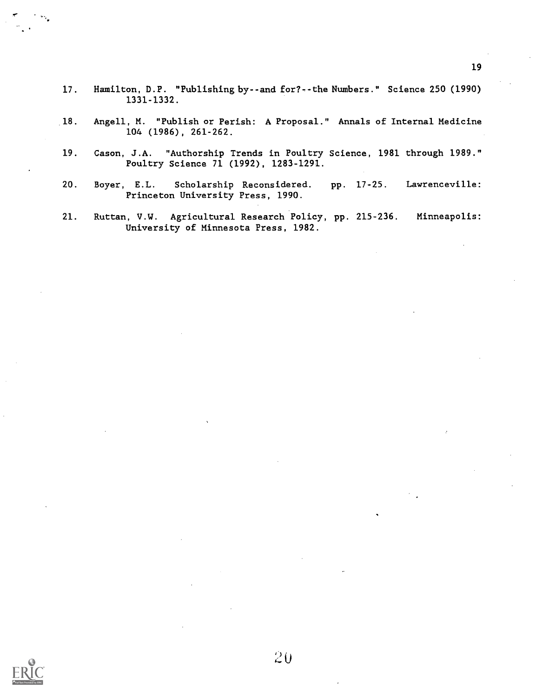- 17. Hamilton, D.P. "Publishing by--and for?--the Numbers." Science 250 (1990) 1331-1332.
- 18. Angell, M. "Publish or Perish: A Proposal." Annals of Internal Medicine 104 (1986), 261-262.
- 19. Cason, J.A. "Authorship Trends in Poultry Science, 1981 through 1989." Poultry Science 71 (1992), 1283-1291.
- 20. Boyer, E.L. Scholarship Reconsidered. pp. 17-25. Lawrenceville: Princeton University Press, 1990.
- 21. Ruttan, V.W. Agricultural Research Policy, pp. 215-236. Minneapolis: University of Minnesota Press, 1982.